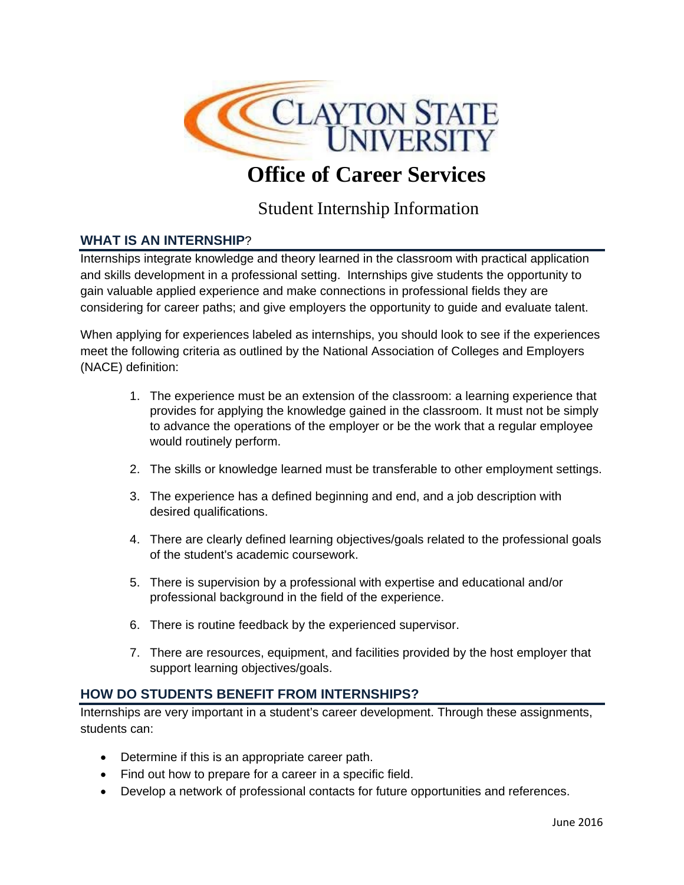

# **Office of Career Services**

# Student Internship Information

# **WHAT IS AN INTERNSHIP**?

Internships integrate knowledge and theory learned in the classroom with practical application and skills development in a professional setting. Internships give students the opportunity to gain valuable applied experience and make connections in professional fields they are considering for career paths; and give employers the opportunity to guide and evaluate talent.

When applying for experiences labeled as internships, you should look to see if the experiences meet the following criteria as outlined by the National Association of Colleges and Employers (NACE) definition:

- 1. The experience must be an extension of the classroom: a learning experience that provides for applying the knowledge gained in the classroom. It must not be simply to advance the operations of the employer or be the work that a regular employee would routinely perform.
- 2. The skills or knowledge learned must be transferable to other employment settings.
- 3. The experience has a defined beginning and end, and a job description with desired qualifications.
- 4. There are clearly defined learning objectives/goals related to the professional goals of the student's academic coursework.
- 5. There is supervision by a professional with expertise and educational and/or professional background in the field of the experience.
- 6. There is routine feedback by the experienced supervisor.
- 7. There are resources, equipment, and facilities provided by the host employer that support learning objectives/goals.

# **HOW DO STUDENTS BENEFIT FROM INTERNSHIPS?**

Internships are very important in a student's career development. Through these assignments, students can:

- Determine if this is an appropriate career path.
- Find out how to prepare for a career in a specific field.
- Develop a network of professional contacts for future opportunities and references.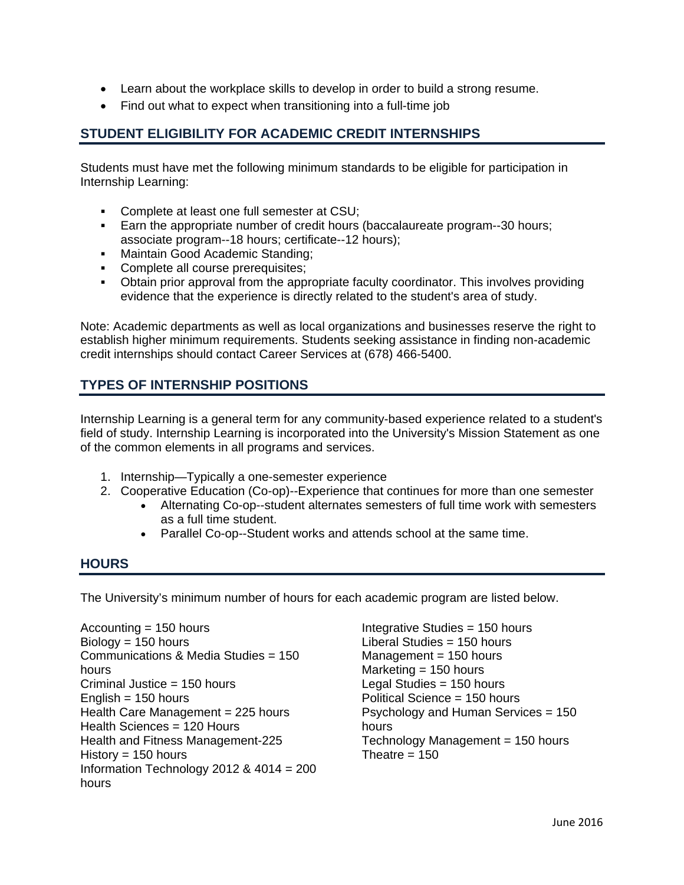- Learn about the workplace skills to develop in order to build a strong resume.
- Find out what to expect when transitioning into a full-time job

# **STUDENT ELIGIBILITY FOR ACADEMIC CREDIT INTERNSHIPS**

Students must have met the following minimum standards to be eligible for participation in Internship Learning:

- **Complete at least one full semester at CSU;**
- Earn the appropriate number of credit hours (baccalaureate program--30 hours; associate program--18 hours; certificate--12 hours);
- **Maintain Good Academic Standing:**
- Complete all course prerequisites;
- Obtain prior approval from the appropriate faculty coordinator. This involves providing evidence that the experience is directly related to the student's area of study.

Note: Academic departments as well as local organizations and businesses reserve the right to establish higher minimum requirements. Students seeking assistance in finding non-academic credit internships should contact Career Services at (678) 466-5400.

# **TYPES OF INTERNSHIP POSITIONS**

Internship Learning is a general term for any community-based experience related to a student's field of study. Internship Learning is incorporated into the University's Mission Statement as one of the common elements in all programs and services.

- 1. Internship—Typically a one-semester experience
- 2. Cooperative Education (Co-op)--Experience that continues for more than one semester
	- Alternating Co-op--student alternates semesters of full time work with semesters as a full time student.
	- Parallel Co-op--Student works and attends school at the same time.

#### **HOURS**

The University's minimum number of hours for each academic program are listed below.

Accounting = 150 hours Biology = 150 hours Communications & Media Studies = 150 hours Criminal Justice = 150 hours English  $= 150$  hours Health Care Management  $= 225$  hours Health Sciences = 120 Hours Health and Fitness Management-225 History  $= 150$  hours Information Technology 2012 & 4014 = 200 hours

Integrative Studies = 150 hours Liberal Studies = 150 hours  $Management = 150 hours$ Marketing  $= 150$  hours Legal Studies = 150 hours Political Science = 150 hours Psychology and Human Services = 150 hours Technology Management = 150 hours Theatre  $= 150$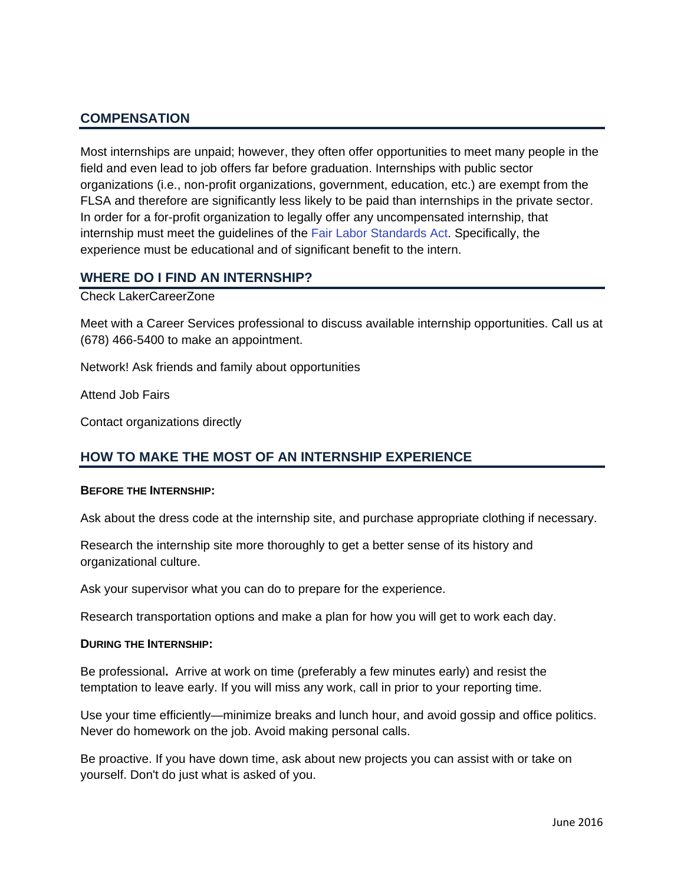# **COMPENSATION**

Most internships are unpaid; however, they often offer opportunities to meet many people in the field and even lead to job offers far before graduation. Internships with public sector organizations (i.e., non-profit organizations, government, education, etc.) are exempt from the FLSA and therefore are significantly less likely to be paid than internships in the private sector. In order for a for-profit organization to legally offer any uncompensated internship, that internship must meet the guidelines of the Fair Labor Standards Act. Specifically, the experience must be educational and of significant benefit to the intern.

#### **WHERE DO I FIND AN INTERNSHIP?**

Check LakerCareerZone

Meet with a Career Services professional to discuss available internship opportunities. Call us at (678) 466-5400 to make an appointment.

Network! Ask friends and family about opportunities

Attend Job Fairs

Contact organizations directly

# **HOW TO MAKE THE MOST OF AN INTERNSHIP EXPERIENCE**

#### **BEFORE THE INTERNSHIP:**

Ask about the dress code at the internship site, and purchase appropriate clothing if necessary.

Research the internship site more thoroughly to get a better sense of its history and organizational culture.

Ask your supervisor what you can do to prepare for the experience.

Research transportation options and make a plan for how you will get to work each day.

#### **DURING THE INTERNSHIP:**

Be professional**.** Arrive at work on time (preferably a few minutes early) and resist the temptation to leave early. If you will miss any work, call in prior to your reporting time.

Use your time efficiently—minimize breaks and lunch hour, and avoid gossip and office politics. Never do homework on the job. Avoid making personal calls.

Be proactive. If you have down time, ask about new projects you can assist with or take on yourself. Don't do just what is asked of you.